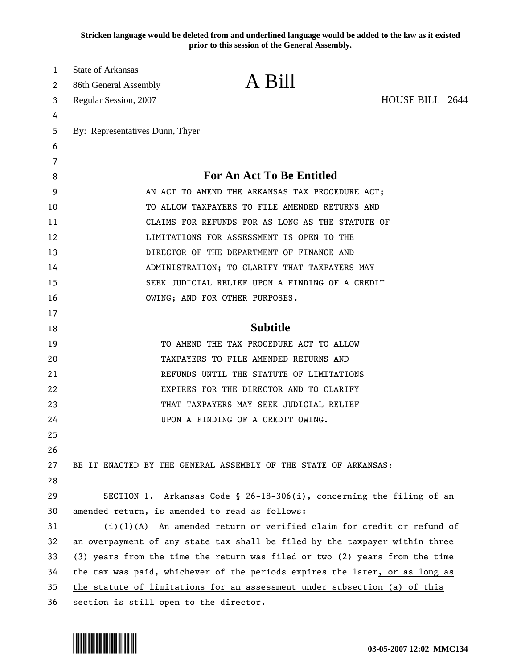**Stricken language would be deleted from and underlined language would be added to the law as it existed prior to this session of the General Assembly.**

| 1  | <b>State of Arkansas</b>                                                    |                                                                             |                 |  |
|----|-----------------------------------------------------------------------------|-----------------------------------------------------------------------------|-----------------|--|
| 2  | 86th General Assembly                                                       | A Bill                                                                      |                 |  |
| 3  | Regular Session, 2007                                                       |                                                                             | HOUSE BILL 2644 |  |
| 4  |                                                                             |                                                                             |                 |  |
| 5  | By: Representatives Dunn, Thyer                                             |                                                                             |                 |  |
| 6  |                                                                             |                                                                             |                 |  |
| 7  |                                                                             |                                                                             |                 |  |
| 8  |                                                                             | For An Act To Be Entitled                                                   |                 |  |
| 9  | AN ACT TO AMEND THE ARKANSAS TAX PROCEDURE ACT;                             |                                                                             |                 |  |
| 10 | TO ALLOW TAXPAYERS TO FILE AMENDED RETURNS AND                              |                                                                             |                 |  |
| 11 | CLAIMS FOR REFUNDS FOR AS LONG AS THE STATUTE OF                            |                                                                             |                 |  |
| 12 | LIMITATIONS FOR ASSESSMENT IS OPEN TO THE                                   |                                                                             |                 |  |
| 13 | DIRECTOR OF THE DEPARTMENT OF FINANCE AND                                   |                                                                             |                 |  |
| 14 | ADMINISTRATION; TO CLARIFY THAT TAXPAYERS MAY                               |                                                                             |                 |  |
| 15 | SEEK JUDICIAL RELIEF UPON A FINDING OF A CREDIT                             |                                                                             |                 |  |
| 16 |                                                                             | OWING; AND FOR OTHER PURPOSES.                                              |                 |  |
| 17 |                                                                             |                                                                             |                 |  |
| 18 |                                                                             | <b>Subtitle</b>                                                             |                 |  |
| 19 |                                                                             | TO AMEND THE TAX PROCEDURE ACT TO ALLOW                                     |                 |  |
| 20 | TAXPAYERS TO FILE AMENDED RETURNS AND                                       |                                                                             |                 |  |
| 21 |                                                                             | REFUNDS UNTIL THE STATUTE OF LIMITATIONS                                    |                 |  |
| 22 |                                                                             | EXPIRES FOR THE DIRECTOR AND TO CLARIFY                                     |                 |  |
| 23 |                                                                             | THAT TAXPAYERS MAY SEEK JUDICIAL RELIEF                                     |                 |  |
| 24 |                                                                             | UPON A FINDING OF A CREDIT OWING.                                           |                 |  |
| 25 |                                                                             |                                                                             |                 |  |
| 26 |                                                                             |                                                                             |                 |  |
| 27 |                                                                             | BE IT ENACTED BY THE GENERAL ASSEMBLY OF THE STATE OF ARKANSAS:             |                 |  |
| 28 |                                                                             |                                                                             |                 |  |
| 29 |                                                                             | SECTION 1. Arkansas Code § 26-18-306(i), concerning the filing of an        |                 |  |
| 30 | amended return, is amended to read as follows:                              |                                                                             |                 |  |
| 31 |                                                                             | $(i)(1)(A)$ An amended return or verified claim for credit or refund of     |                 |  |
| 32 | an overpayment of any state tax shall be filed by the taxpayer within three |                                                                             |                 |  |
| 33 | (3) years from the time the return was filed or two (2) years from the time |                                                                             |                 |  |
| 34 |                                                                             | the tax was paid, whichever of the periods expires the later, or as long as |                 |  |
| 35 |                                                                             | the statute of limitations for an assessment under subsection (a) of this   |                 |  |
| 36 | section is still open to the director.                                      |                                                                             |                 |  |